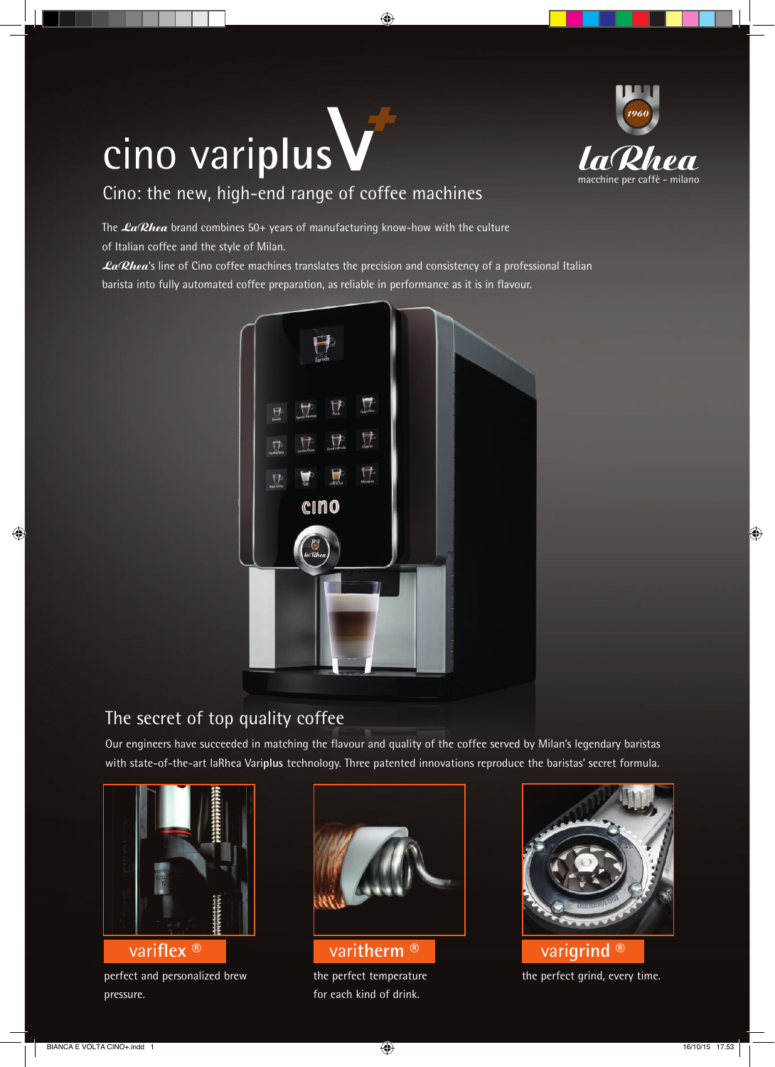## cino vari**plus**



## Cino: the new, high-end range of coffee machines

The  $LaRhea$  brand combines 50+ years of manufacturing know-how with the culture of Italian coffee and the style of Milan.

La/Rhea's line of Cino coffee machines translates the precision and consistency of a professional Italian barista into fully automated coffee preparation, as reliable in performance as it is in flavour.



## The secret of top quality coffee

Our engineers have succeeded in matching the flavour and quality of the coffee served by Milan's legendary baristas with state-of-the-art laRhea Vari**plus** technology. Three patented innovations reproduce the baristas' secret formula.



perfect and personalized brew pressure.



the perfect temperature for each kind of drink.



the perfect grind, every time. vari**flex** ® vari**therm** ® vari**grind** ®